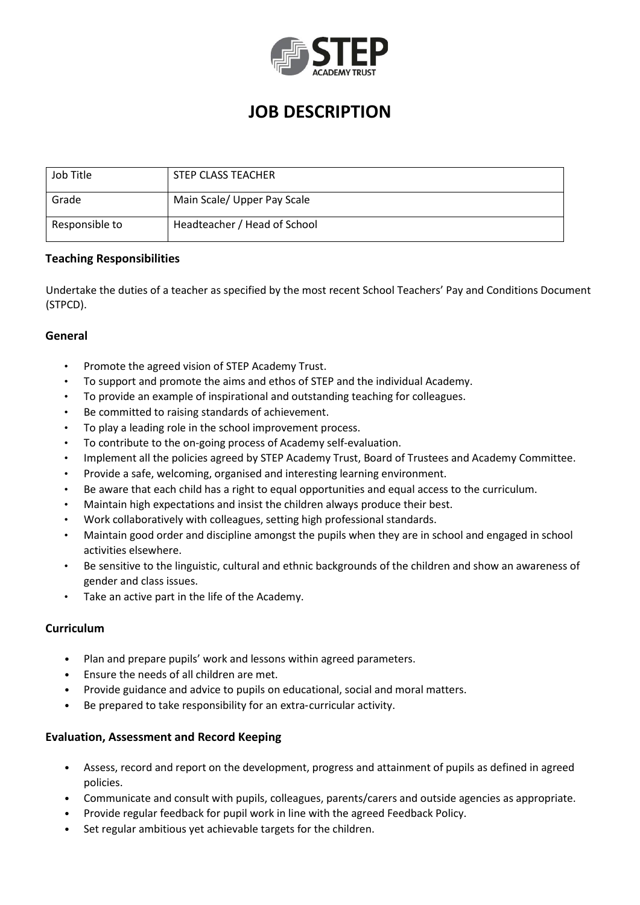

# **JOB DESCRIPTION**

| Job Title      | STEP CLASS TEACHER           |
|----------------|------------------------------|
| Grade          | Main Scale/ Upper Pay Scale  |
| Responsible to | Headteacher / Head of School |

# **Teaching Responsibilities**

Undertake the duties of a teacher as specified by the most recent School Teachers' Pay and Conditions Document (STPCD).

# **General**

- Promote the agreed vision of STEP Academy Trust.
- To support and promote the aims and ethos of STEP and the individual Academy.
- To provide an example of inspirational and outstanding teaching for colleagues.
- Be committed to raising standards of achievement.
- To play a leading role in the school improvement process.
- To contribute to the on-going process of Academy self-evaluation.
- Implement all the policies agreed by STEP Academy Trust, Board of Trustees and Academy Committee.
- Provide a safe, welcoming, organised and interesting learning environment.
- Be aware that each child has a right to equal opportunities and equal access to the curriculum.
- Maintain high expectations and insist the children always produce their best.
- Work collaboratively with colleagues, setting high professional standards.
- Maintain good order and discipline amongst the pupils when they are in school and engaged in school activities elsewhere.
- Be sensitive to the linguistic, cultural and ethnic backgrounds of the children and show an awareness of gender and class issues.
- Take an active part in the life of the Academy.

# **Curriculum**

- Plan and prepare pupils' work and lessons within agreed parameters.
- Ensure the needs of all children are met.
- Provide guidance and advice to pupils on educational, social and moral matters.
- Be prepared to take responsibility for an extra-curricular activity.

#### **Evaluation, Assessment and Record Keeping**

- Assess, record and report on the development, progress and attainment of pupils as defined in agreed policies.
- Communicate and consult with pupils, colleagues, parents/carers and outside agencies as appropriate.
- Provide regular feedback for pupil work in line with the agreed Feedback Policy.
- Set regular ambitious yet achievable targets for the children.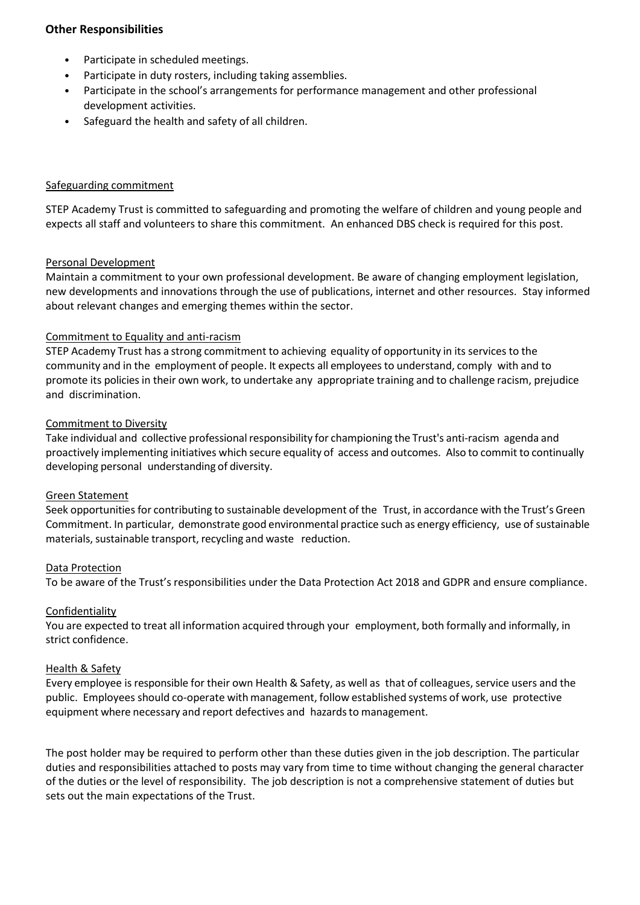# **Other Responsibilities**

- Participate in scheduled meetings.
- Participate in duty rosters, including taking assemblies.
- Participate in the school's arrangements for performance management and other professional development activities.
- Safeguard the health and safety of all children.

### Safeguarding commitment

STEP Academy Trust is committed to safeguarding and promoting the welfare of children and young people and expects all staff and volunteers to share this commitment. An enhanced DBS check is required for this post.

# Personal Development

Maintain a commitment to your own professional development. Be aware of changing employment legislation, new developments and innovations through the use of publications, internet and other resources. Stay informed about relevant changes and emerging themes within the sector.

# Commitment to Equality and anti-racism

STEP Academy Trust has a strong commitment to achieving equality of opportunity in its services to the community and in the employment of people. It expects all employees to understand, comply with and to promote its policies in their own work, to undertake any appropriate training and to challenge racism, prejudice and discrimination.

#### Commitment to Diversity

Take individual and collective professional responsibility for championing the Trust's anti-racism agenda and proactively implementing initiatives which secure equality of access and outcomes. Also to commit to continually developing personal understanding of diversity.

#### Green Statement

Seek opportunities for contributing to sustainable development of the Trust, in accordance with the Trust's Green Commitment. In particular, demonstrate good environmental practice such as energy efficiency, use of sustainable materials, sustainable transport, recycling and waste reduction.

#### Data Protection

To be aware of the Trust's responsibilities under the Data Protection Act 2018 and GDPR and ensure compliance.

#### Confidentiality

You are expected to treat all information acquired through your employment, both formally and informally, in strict confidence.

#### Health & Safety

Every employee is responsible for their own Health & Safety, as well as that of colleagues, service users and the public. Employees should co-operate with management, follow established systems of work, use protective equipment where necessary and report defectives and hazards to management.

The post holder may be required to perform other than these duties given in the job description. The particular duties and responsibilities attached to posts may vary from time to time without changing the general character of the duties or the level of responsibility. The job description is not a comprehensive statement of duties but sets out the main expectations of the Trust.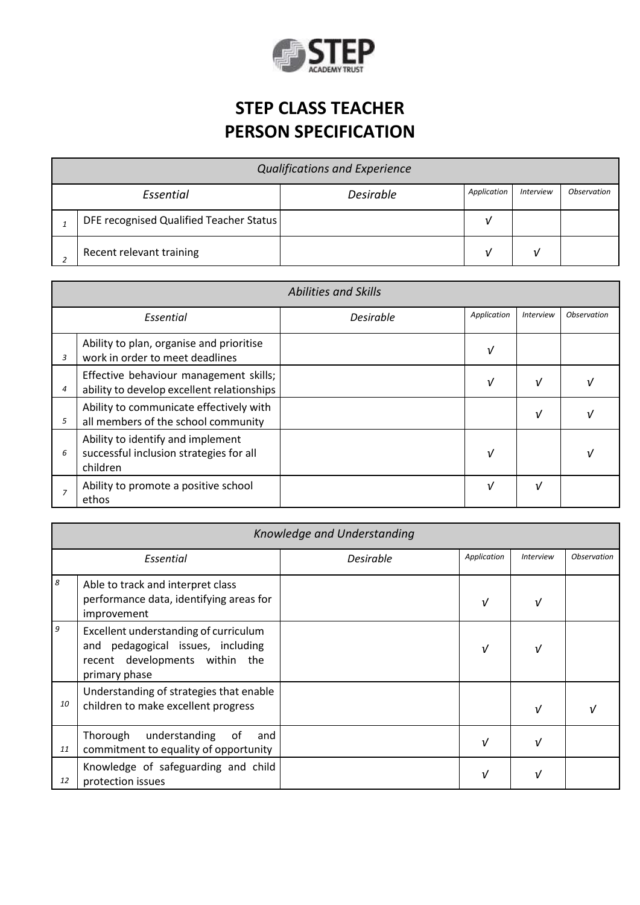

# **STEP CLASS TEACHER PERSON SPECIFICATION**

| <b>Qualifications and Experience</b> |                                         |                  |             |                  |                           |  |
|--------------------------------------|-----------------------------------------|------------------|-------------|------------------|---------------------------|--|
| Essential                            |                                         | <b>Desirable</b> | Application | <b>Interview</b> | <i><b>Observation</b></i> |  |
|                                      | DFE recognised Qualified Teacher Status |                  |             |                  |                           |  |
|                                      | Recent relevant training                |                  |             |                  |                           |  |

| <b>Abilities and Skills</b> |                                                                                          |                  |             |                         |                           |  |
|-----------------------------|------------------------------------------------------------------------------------------|------------------|-------------|-------------------------|---------------------------|--|
| Essential                   |                                                                                          | <b>Desirable</b> | Application | <i><b>Interview</b></i> | <i><b>Observation</b></i> |  |
| 3                           | Ability to plan, organise and prioritise<br>work in order to meet deadlines              |                  | ν           |                         |                           |  |
| 4                           | Effective behaviour management skills;<br>ability to develop excellent relationships     |                  | V           | $\sqrt{ }$              |                           |  |
| 5                           | Ability to communicate effectively with<br>all members of the school community           |                  |             | ν                       |                           |  |
| 6                           | Ability to identify and implement<br>successful inclusion strategies for all<br>children |                  | v           |                         |                           |  |
|                             | Ability to promote a positive school<br>ethos                                            |                  | ν           | ν                       |                           |  |

| Knowledge and Understanding |                                                                                                                               |                  |               |                  |                           |
|-----------------------------|-------------------------------------------------------------------------------------------------------------------------------|------------------|---------------|------------------|---------------------------|
| Essential                   |                                                                                                                               | <b>Desirable</b> | Application   | <b>Interview</b> | <i><b>Observation</b></i> |
| 8                           | Able to track and interpret class<br>performance data, identifying areas for<br>improvement                                   |                  | $\sqrt{ }$    |                  |                           |
| 9                           | Excellent understanding of curriculum<br>and pedagogical issues, including<br>recent developments within the<br>primary phase |                  | $\sqrt{ }$    |                  |                           |
| 10                          | Understanding of strategies that enable<br>children to make excellent progress                                                |                  |               | $\mathcal{U}$    |                           |
| 11                          | Thorough<br>understanding<br>of<br>and<br>commitment to equality of opportunity                                               |                  | $\sqrt{ }$    |                  |                           |
| 12                          | Knowledge of safeguarding and child<br>protection issues                                                                      |                  | $\mathcal{U}$ |                  |                           |